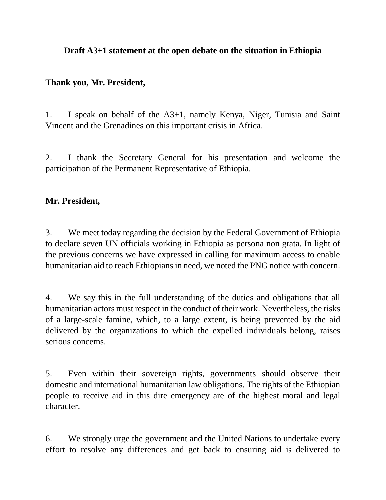### **Draft A3+1 statement at the open debate on the situation in Ethiopia**

### **Thank you, Mr. President,**

1. I speak on behalf of the A3+1, namely Kenya, Niger, Tunisia and Saint Vincent and the Grenadines on this important crisis in Africa.

2. I thank the Secretary General for his presentation and welcome the participation of the Permanent Representative of Ethiopia.

### **Mr. President,**

3. We meet today regarding the decision by the Federal Government of Ethiopia to declare seven UN officials working in Ethiopia as persona non grata. In light of the previous concerns we have expressed in calling for maximum access to enable humanitarian aid to reach Ethiopians in need, we noted the PNG notice with concern.

4. We say this in the full understanding of the duties and obligations that all humanitarian actors must respect in the conduct of their work. Nevertheless, the risks of a large-scale famine, which, to a large extent, is being prevented by the aid delivered by the organizations to which the expelled individuals belong, raises serious concerns.

5. Even within their sovereign rights, governments should observe their domestic and international humanitarian law obligations. The rights of the Ethiopian people to receive aid in this dire emergency are of the highest moral and legal character.

6. We strongly urge the government and the United Nations to undertake every effort to resolve any differences and get back to ensuring aid is delivered to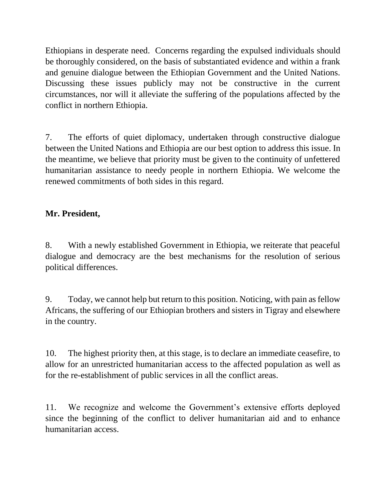Ethiopians in desperate need. Concerns regarding the expulsed individuals should be thoroughly considered, on the basis of substantiated evidence and within a frank and genuine dialogue between the Ethiopian Government and the United Nations. Discussing these issues publicly may not be constructive in the current circumstances, nor will it alleviate the suffering of the populations affected by the conflict in northern Ethiopia.

7. The efforts of quiet diplomacy, undertaken through constructive dialogue between the United Nations and Ethiopia are our best option to address this issue. In the meantime, we believe that priority must be given to the continuity of unfettered humanitarian assistance to needy people in northern Ethiopia. We welcome the renewed commitments of both sides in this regard.

# **Mr. President,**

8. With a newly established Government in Ethiopia, we reiterate that peaceful dialogue and democracy are the best mechanisms for the resolution of serious political differences.

9. Today, we cannot help but return to this position. Noticing, with pain as fellow Africans, the suffering of our Ethiopian brothers and sisters in Tigray and elsewhere in the country.

10. The highest priority then, at this stage, is to declare an immediate ceasefire, to allow for an unrestricted humanitarian access to the affected population as well as for the re-establishment of public services in all the conflict areas.

11. We recognize and welcome the Government's extensive efforts deployed since the beginning of the conflict to deliver humanitarian aid and to enhance humanitarian access.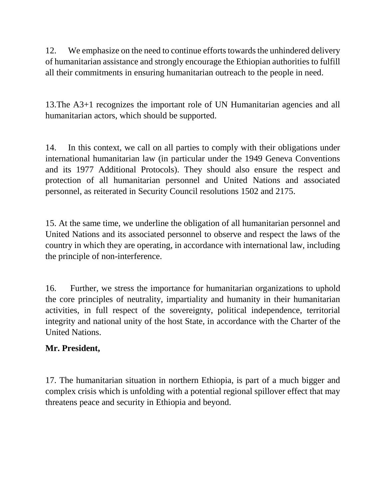12. We emphasize on the need to continue efforts towards the unhindered delivery of humanitarian assistance and strongly encourage the Ethiopian authorities to fulfill all their commitments in ensuring humanitarian outreach to the people in need.

13.The A3+1 recognizes the important role of UN Humanitarian agencies and all humanitarian actors, which should be supported.

14. In this context, we call on all parties to comply with their obligations under international humanitarian law (in particular under the 1949 Geneva Conventions and its 1977 Additional Protocols). They should also ensure the respect and protection of all humanitarian personnel and United Nations and associated personnel, as reiterated in Security Council resolutions 1502 and 2175.

15. At the same time, we underline the obligation of all humanitarian personnel and United Nations and its associated personnel to observe and respect the laws of the country in which they are operating, in accordance with international law, including the principle of non-interference.

16. Further, we stress the importance for humanitarian organizations to uphold the core principles of neutrality, impartiality and humanity in their humanitarian activities, in full respect of the sovereignty, political independence, territorial integrity and national unity of the host State, in accordance with the Charter of the United Nations.

# **Mr. President,**

17. The humanitarian situation in northern Ethiopia, is part of a much bigger and complex crisis which is unfolding with a potential regional spillover effect that may threatens peace and security in Ethiopia and beyond.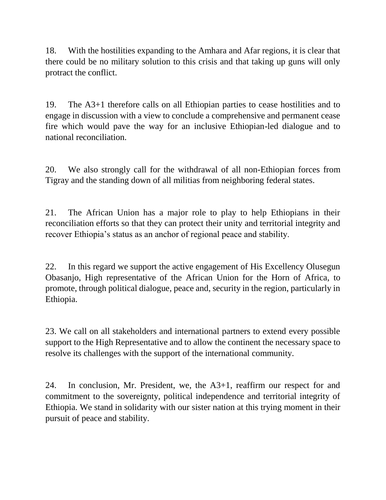18. With the hostilities expanding to the Amhara and Afar regions, it is clear that there could be no military solution to this crisis and that taking up guns will only protract the conflict.

19. The A3+1 therefore calls on all Ethiopian parties to cease hostilities and to engage in discussion with a view to conclude a comprehensive and permanent cease fire which would pave the way for an inclusive Ethiopian-led dialogue and to national reconciliation.

20. We also strongly call for the withdrawal of all non-Ethiopian forces from Tigray and the standing down of all militias from neighboring federal states.

21. The African Union has a major role to play to help Ethiopians in their reconciliation efforts so that they can protect their unity and territorial integrity and recover Ethiopia's status as an anchor of regional peace and stability.

22. In this regard we support the active engagement of His Excellency Olusegun Obasanjo, High representative of the African Union for the Horn of Africa, to promote, through political dialogue, peace and, security in the region, particularly in Ethiopia.

23. We call on all stakeholders and international partners to extend every possible support to the High Representative and to allow the continent the necessary space to resolve its challenges with the support of the international community.

24. In conclusion, Mr. President, we, the A3+1, reaffirm our respect for and commitment to the sovereignty, political independence and territorial integrity of Ethiopia. We stand in solidarity with our sister nation at this trying moment in their pursuit of peace and stability.